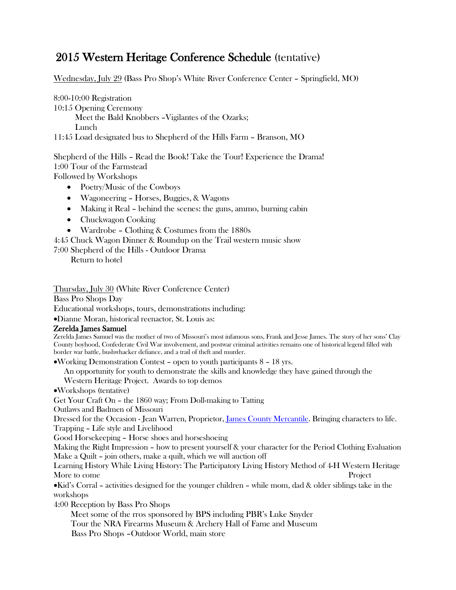## 2015 Western Heritage Conference Schedule (tentative)

Wednesday, July 29 (Bass Pro Shop's White River Conference Center – Springfield, MO)

8:00-10:00 Registration 10:15 Opening Ceremony Meet the Bald Knobbers –Vigilantes of the Ozarks; Lunch 11:45 Load designated bus to Shepherd of the Hills Farm – Branson, MO

Shepherd of the Hills – Read the Book! Take the Tour! Experience the Drama! 1:00 Tour of the Farmstead Followed by Workshops

• Poetry/Music of the Cowboys

- Wagoneering Horses, Buggies, & Wagons
- Making it Real behind the scenes: the guns, ammo, burning cabin
- Chuckwagon Cooking
- Wardrobe Clothing & Costumes from the 1880s
- 4:45 Chuck Wagon Dinner & Roundup on the Trail western music show
- 7:00 Shepherd of the Hills Outdoor Drama

Return to hotel

Thursday, July 30 (White River Conference Center)

Bass Pro Shops Day

Educational workshops, tours, demonstrations including:

•Dianne Moran, historical reenactor, St. Louis as:

Zerelda James Samuel<br>Zerelda James Samuel was the mother of two of Missouri's most infamous sons, Frank and Jesse James. The story of her sons' Clay County boyhood, Confederate Civil War involvement, and postwar criminal activities remains one of historical legend filled with border war battle, bushwhacker defiance, and a trail of theft and murder.

•Working Demonstration Contest – open to youth participants 8 – 18 yrs.

An opportunity for youth to demonstrate the skills and knowledge they have gained through the

Western Heritage Project. Awards to top demos

•Workshops (tentative)

Get Your Craft On – the 1860 way; From Doll-making to Tatting

Outlaws and Badmen of Missouri

Dressed for the Occasion - Jean Warren, Proprietor, [James County Mercantile.](http://www.jamescountry.com/) Bringing characters to life. Trapping – Life style and Livelihood

Good Horsekeeping – Horse shoes and horseshoeing

Making the Right Impression – how to present yourself & your character for the Period Clothing Evaluation Make a Quilt – join others, make a quilt, which we will auction off

Learning History While Living History: The Participatory Living History Method of 4-H Western Heritage More to come Project

•Kid's Corral – activities designed for the younger children – while mom, dad & older siblings take in the workshops

4:00 Reception by Bass Pro Shops

 Meet some of the rros sponsored by BPS including PBR's Luke Snyder Tour the NRA Firearms Museum & Archery Hall of Fame and Museum Bass Pro Shops –Outdoor World, main store